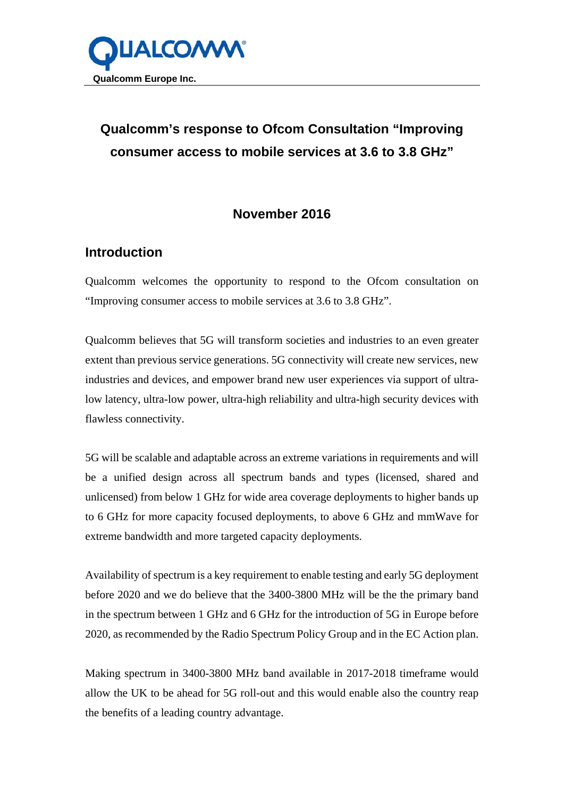

## **Qualcomm's response to Ofcom Consultation "Improving consumer access to mobile services at 3.6 to 3.8 GHz"**

## **November 2016**

## **Introduction**

Qualcomm welcomes the opportunity to respond to the Ofcom consultation on "Improving consumer access to mobile services at 3.6 to 3.8 GHz".

Qualcomm believes that 5G will transform societies and industries to an even greater extent than previous service generations. 5G connectivity will create new services, new industries and devices, and empower brand new user experiences via support of ultralow latency, ultra-low power, ultra-high reliability and ultra-high security devices with flawless connectivity.

5G will be scalable and adaptable across an extreme variations in requirements and will be a unified design across all spectrum bands and types (licensed, shared and unlicensed) from below 1 GHz for wide area coverage deployments to higher bands up to 6 GHz for more capacity focused deployments, to above 6 GHz and mmWave for extreme bandwidth and more targeted capacity deployments.

Availability of spectrum is a key requirement to enable testing and early 5G deployment before 2020 and we do believe that the 3400-3800 MHz will be the the primary band in the spectrum between 1 GHz and 6 GHz for the introduction of 5G in Europe before 2020, as recommended by the Radio Spectrum Policy Group and in the EC Action plan.

Making spectrum in 3400-3800 MHz band available in 2017-2018 timeframe would allow the UK to be ahead for 5G roll-out and this would enable also the country reap the benefits of a leading country advantage.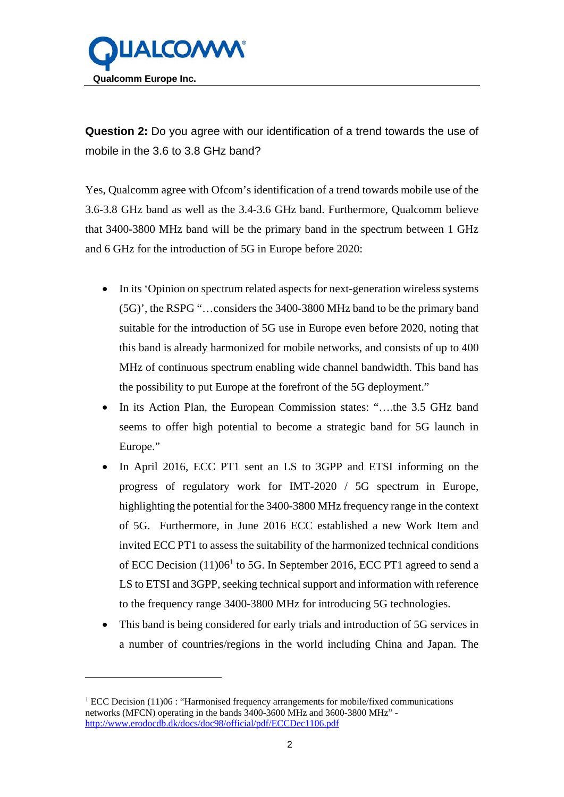

**Question 2:** Do you agree with our identification of a trend towards the use of mobile in the 3.6 to 3.8 GHz band?

Yes, Qualcomm agree with Ofcom's identification of a trend towards mobile use of the 3.6-3.8 GHz band as well as the 3.4-3.6 GHz band. Furthermore, Qualcomm believe that 3400-3800 MHz band will be the primary band in the spectrum between 1 GHz and 6 GHz for the introduction of 5G in Europe before 2020:

- In its 'Opinion on spectrum related aspects for next-generation wireless systems (5G)', the RSPG "…considers the 3400-3800 MHz band to be the primary band suitable for the introduction of 5G use in Europe even before 2020, noting that this band is already harmonized for mobile networks, and consists of up to 400 MHz of continuous spectrum enabling wide channel bandwidth. This band has the possibility to put Europe at the forefront of the 5G deployment."
- In its Action Plan, the European Commission states: "….the 3.5 GHz band seems to offer high potential to become a strategic band for 5G launch in Europe."
- In April 2016, ECC PT1 sent an LS to 3GPP and ETSI informing on the progress of regulatory work for IMT-2020 / 5G spectrum in Europe, highlighting the potential for the 3400-3800 MHz frequency range in the context of 5G. Furthermore, in June 2016 ECC established a new Work Item and invited ECC PT1 to assess the suitability of the harmonized technical conditions of ECC Decision  $(11)06<sup>1</sup>$  to 5G. In September 2016, ECC PT1 agreed to send a LS to ETSI and 3GPP, seeking technical support and information with reference to the frequency range 3400-3800 MHz for introducing 5G technologies.
- This band is being considered for early trials and introduction of 5G services in a number of countries/regions in the world including China and Japan. The

1

<sup>&</sup>lt;sup>1</sup> ECC Decision (11)06 : "Harmonised frequency arrangements for mobile/fixed communications networks (MFCN) operating in the bands 3400-3600 MHz and 3600-3800 MHz" http://www.erodocdb.dk/docs/doc98/official/pdf/ECCDec1106.pdf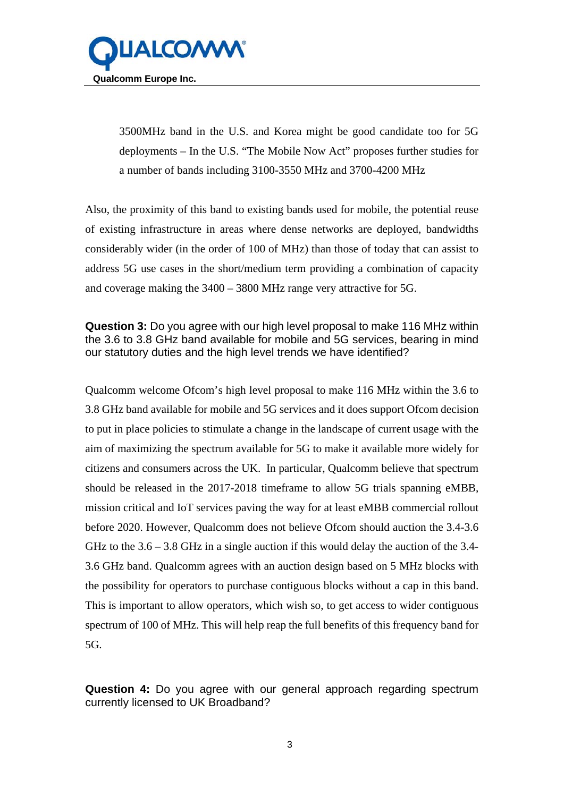

3500MHz band in the U.S. and Korea might be good candidate too for 5G deployments – In the U.S. "The Mobile Now Act" proposes further studies for a number of bands including 3100-3550 MHz and 3700-4200 MHz

Also, the proximity of this band to existing bands used for mobile, the potential reuse of existing infrastructure in areas where dense networks are deployed, bandwidths considerably wider (in the order of 100 of MHz) than those of today that can assist to address 5G use cases in the short/medium term providing a combination of capacity and coverage making the 3400 – 3800 MHz range very attractive for 5G.

**Question 3:** Do you agree with our high level proposal to make 116 MHz within the 3.6 to 3.8 GHz band available for mobile and 5G services, bearing in mind our statutory duties and the high level trends we have identified?

Qualcomm welcome Ofcom's high level proposal to make 116 MHz within the 3.6 to 3.8 GHz band available for mobile and 5G services and it does support Ofcom decision to put in place policies to stimulate a change in the landscape of current usage with the aim of maximizing the spectrum available for 5G to make it available more widely for citizens and consumers across the UK. In particular, Qualcomm believe that spectrum should be released in the 2017-2018 timeframe to allow 5G trials spanning eMBB, mission critical and IoT services paving the way for at least eMBB commercial rollout before 2020. However, Qualcomm does not believe Ofcom should auction the 3.4-3.6 GHz to the  $3.6 - 3.8$  GHz in a single auction if this would delay the auction of the 3.4-3.6 GHz band. Qualcomm agrees with an auction design based on 5 MHz blocks with the possibility for operators to purchase contiguous blocks without a cap in this band. This is important to allow operators, which wish so, to get access to wider contiguous spectrum of 100 of MHz. This will help reap the full benefits of this frequency band for 5G.

**Question 4:** Do you agree with our general approach regarding spectrum currently licensed to UK Broadband?